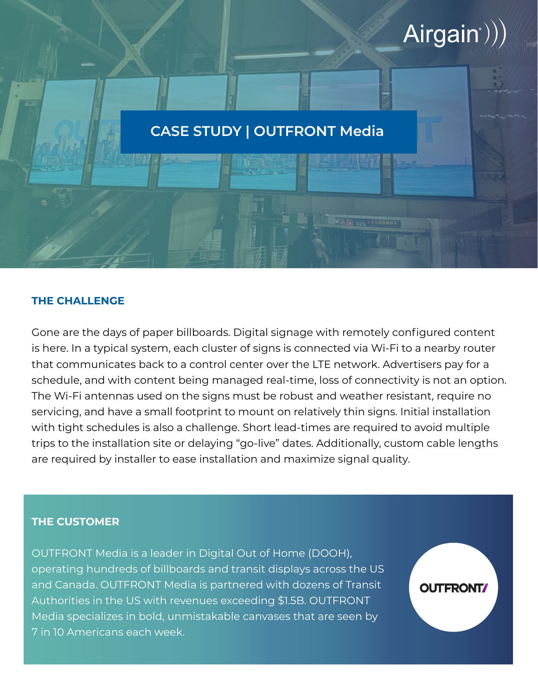# $Airgain$ ))

**OUTFRONT** 

# **CASE STUDY | OUTFRONT Media**

## **THE CHALLENGE**

Gone are the days of paper billboards. Digital signage with remotely configured content is here. In a typical system, each cluster of signs is connected via Wi-Fi to a nearby router that communicates back to a control center over the LTE network. Advertisers pay for a schedule, and with content being managed real-time, loss of connectivity is not an option. The Wi-Fi antennas used on the signs must be robust and weather resistant, require no servicing, and have a small footprint to mount on relatively thin signs. Initial installation with tight schedules is also a challenge. Short lead-times are required to avoid multiple trips to the installation site or delaying "go-live" dates. Additionally, custom cable lengths are required by installer to ease installation and maximize signal quality.

#### **THE CUSTOMER**

OUTFRONT Media is a leader in Digital Out of Home (DOOH), operating hundreds of billboards and transit displays across the US and Canada. OUTFRONT Media is partnered with dozens of Transit Authorities in the US with revenues exceeding \$1.5B. OUTFRONT Media specializes in bold, unmistakable canvases that are seen by 7 in 10 Americans each week.